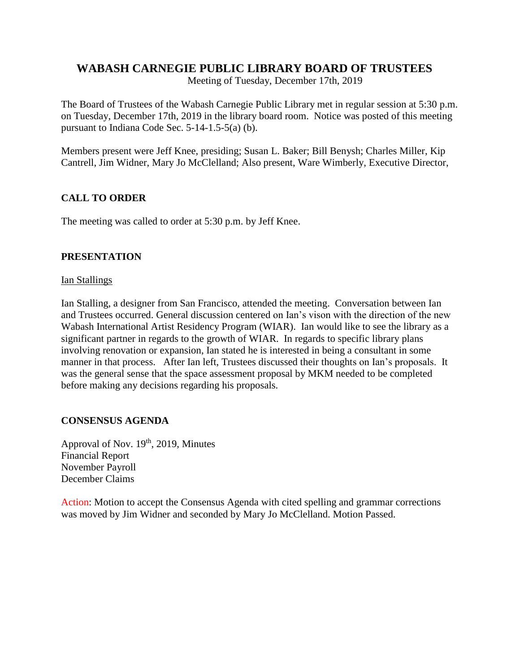# **WABASH CARNEGIE PUBLIC LIBRARY BOARD OF TRUSTEES**

Meeting of Tuesday, December 17th, 2019

The Board of Trustees of the Wabash Carnegie Public Library met in regular session at 5:30 p.m. on Tuesday, December 17th, 2019 in the library board room. Notice was posted of this meeting pursuant to Indiana Code Sec. 5-14-1.5-5(a) (b).

Members present were Jeff Knee, presiding; Susan L. Baker; Bill Benysh; Charles Miller, Kip Cantrell, Jim Widner, Mary Jo McClelland; Also present, Ware Wimberly, Executive Director,

# **CALL TO ORDER**

The meeting was called to order at 5:30 p.m. by Jeff Knee.

## **PRESENTATION**

#### Ian Stallings

Ian Stalling, a designer from San Francisco, attended the meeting. Conversation between Ian and Trustees occurred. General discussion centered on Ian's vison with the direction of the new Wabash International Artist Residency Program (WIAR). Ian would like to see the library as a significant partner in regards to the growth of WIAR. In regards to specific library plans involving renovation or expansion, Ian stated he is interested in being a consultant in some manner in that process. After Ian left, Trustees discussed their thoughts on Ian's proposals. It was the general sense that the space assessment proposal by MKM needed to be completed before making any decisions regarding his proposals.

#### **CONSENSUS AGENDA**

Approval of Nov.  $19<sup>th</sup>$ , 2019, Minutes Financial Report November Payroll December Claims

Action: Motion to accept the Consensus Agenda with cited spelling and grammar corrections was moved by Jim Widner and seconded by Mary Jo McClelland. Motion Passed.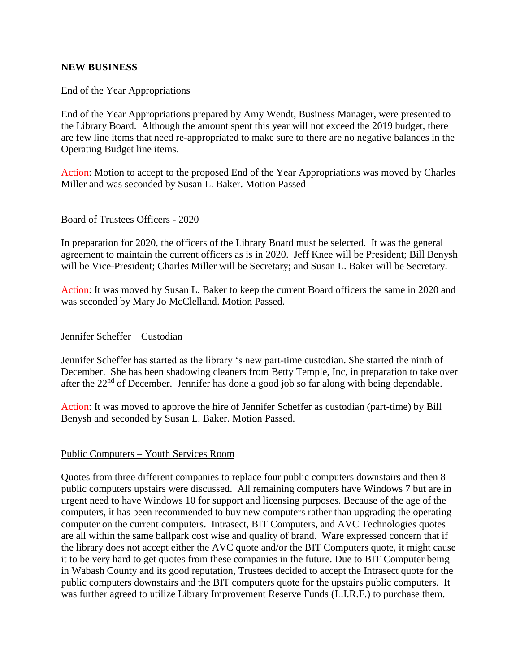#### **NEW BUSINESS**

#### End of the Year Appropriations

End of the Year Appropriations prepared by Amy Wendt, Business Manager, were presented to the Library Board. Although the amount spent this year will not exceed the 2019 budget, there are few line items that need re-appropriated to make sure to there are no negative balances in the Operating Budget line items.

Action: Motion to accept to the proposed End of the Year Appropriations was moved by Charles Miller and was seconded by Susan L. Baker. Motion Passed

#### Board of Trustees Officers - 2020

In preparation for 2020, the officers of the Library Board must be selected. It was the general agreement to maintain the current officers as is in 2020. Jeff Knee will be President; Bill Benysh will be Vice-President; Charles Miller will be Secretary; and Susan L. Baker will be Secretary.

Action: It was moved by Susan L. Baker to keep the current Board officers the same in 2020 and was seconded by Mary Jo McClelland. Motion Passed.

#### Jennifer Scheffer – Custodian

Jennifer Scheffer has started as the library 's new part-time custodian. She started the ninth of December. She has been shadowing cleaners from Betty Temple, Inc, in preparation to take over after the 22<sup>nd</sup> of December. Jennifer has done a good job so far along with being dependable.

Action: It was moved to approve the hire of Jennifer Scheffer as custodian (part-time) by Bill Benysh and seconded by Susan L. Baker. Motion Passed.

#### Public Computers – Youth Services Room

Quotes from three different companies to replace four public computers downstairs and then 8 public computers upstairs were discussed. All remaining computers have Windows 7 but are in urgent need to have Windows 10 for support and licensing purposes. Because of the age of the computers, it has been recommended to buy new computers rather than upgrading the operating computer on the current computers. Intrasect, BIT Computers, and AVC Technologies quotes are all within the same ballpark cost wise and quality of brand. Ware expressed concern that if the library does not accept either the AVC quote and/or the BIT Computers quote, it might cause it to be very hard to get quotes from these companies in the future. Due to BIT Computer being in Wabash County and its good reputation, Trustees decided to accept the Intrasect quote for the public computers downstairs and the BIT computers quote for the upstairs public computers. It was further agreed to utilize Library Improvement Reserve Funds (L.I.R.F.) to purchase them.